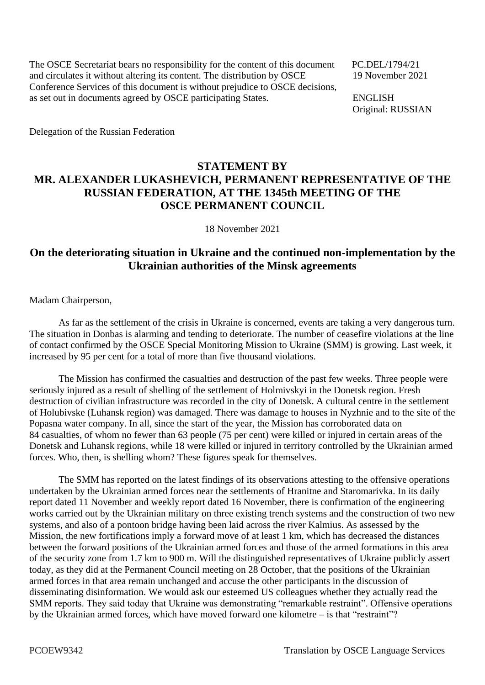The OSCE Secretariat bears no responsibility for the content of this document PC.DEL/1794/21 and circulates it without altering its content. The distribution by OSCE 19 November 2021 Conference Services of this document is without prejudice to OSCE decisions, as set out in documents agreed by OSCE participating States. ENGLISH

Original: RUSSIAN

Delegation of the Russian Federation

## **STATEMENT BY MR. ALEXANDER LUKASHEVICH, PERMANENT REPRESENTATIVE OF THE RUSSIAN FEDERATION, AT THE 1345th MEETING OF THE OSCE PERMANENT COUNCIL**

18 November 2021

## **On the deteriorating situation in Ukraine and the continued non-implementation by the Ukrainian authorities of the Minsk agreements**

Madam Chairperson,

As far as the settlement of the crisis in Ukraine is concerned, events are taking a very dangerous turn. The situation in Donbas is alarming and tending to deteriorate. The number of ceasefire violations at the line of contact confirmed by the OSCE Special Monitoring Mission to Ukraine (SMM) is growing. Last week, it increased by 95 per cent for a total of more than five thousand violations.

The Mission has confirmed the casualties and destruction of the past few weeks. Three people were seriously injured as a result of shelling of the settlement of Holmivskyi in the Donetsk region. Fresh destruction of civilian infrastructure was recorded in the city of Donetsk. A cultural centre in the settlement of Holubivske (Luhansk region) was damaged. There was damage to houses in Nyzhnie and to the site of the Popasna water company. In all, since the start of the year, the Mission has corroborated data on 84 casualties, of whom no fewer than 63 people (75 per cent) were killed or injured in certain areas of the Donetsk and Luhansk regions, while 18 were killed or injured in territory controlled by the Ukrainian armed forces. Who, then, is shelling whom? These figures speak for themselves.

The SMM has reported on the latest findings of its observations attesting to the offensive operations undertaken by the Ukrainian armed forces near the settlements of Hranitne and Staromarivka. In its daily report dated 11 November and weekly report dated 16 November, there is confirmation of the engineering works carried out by the Ukrainian military on three existing trench systems and the construction of two new systems, and also of a pontoon bridge having been laid across the river Kalmius. As assessed by the Mission, the new fortifications imply a forward move of at least 1 km, which has decreased the distances between the forward positions of the Ukrainian armed forces and those of the armed formations in this area of the security zone from 1.7 km to 900 m. Will the distinguished representatives of Ukraine publicly assert today, as they did at the Permanent Council meeting on 28 October, that the positions of the Ukrainian armed forces in that area remain unchanged and accuse the other participants in the discussion of disseminating disinformation. We would ask our esteemed US colleagues whether they actually read the SMM reports. They said today that Ukraine was demonstrating "remarkable restraint". Offensive operations by the Ukrainian armed forces, which have moved forward one kilometre – is that "restraint"?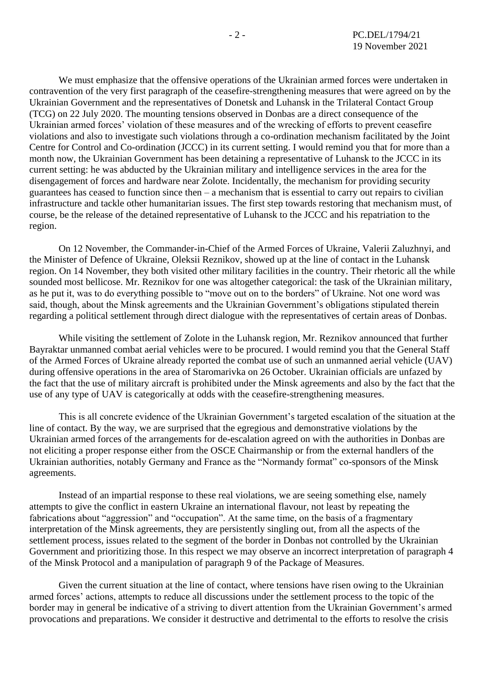We must emphasize that the offensive operations of the Ukrainian armed forces were undertaken in contravention of the very first paragraph of the ceasefire-strengthening measures that were agreed on by the Ukrainian Government and the representatives of Donetsk and Luhansk in the Trilateral Contact Group (TCG) on 22 July 2020. The mounting tensions observed in Donbas are a direct consequence of the Ukrainian armed forces' violation of these measures and of the wrecking of efforts to prevent ceasefire violations and also to investigate such violations through a co-ordination mechanism facilitated by the Joint Centre for Control and Co-ordination (JCCC) in its current setting. I would remind you that for more than a month now, the Ukrainian Government has been detaining a representative of Luhansk to the JCCC in its current setting: he was abducted by the Ukrainian military and intelligence services in the area for the disengagement of forces and hardware near Zolote. Incidentally, the mechanism for providing security guarantees has ceased to function since then – a mechanism that is essential to carry out repairs to civilian infrastructure and tackle other humanitarian issues. The first step towards restoring that mechanism must, of course, be the release of the detained representative of Luhansk to the JCCC and his repatriation to the region.

On 12 November, the Commander-in-Chief of the Armed Forces of Ukraine, Valerii Zaluzhnyi, and the Minister of Defence of Ukraine, Oleksii Reznikov, showed up at the line of contact in the Luhansk region. On 14 November, they both visited other military facilities in the country. Their rhetoric all the while sounded most bellicose. Mr. Reznikov for one was altogether categorical: the task of the Ukrainian military, as he put it, was to do everything possible to "move out on to the borders" of Ukraine. Not one word was said, though, about the Minsk agreements and the Ukrainian Government's obligations stipulated therein regarding a political settlement through direct dialogue with the representatives of certain areas of Donbas.

While visiting the settlement of Zolote in the Luhansk region, Mr. Reznikov announced that further Bayraktar unmanned combat aerial vehicles were to be procured. I would remind you that the General Staff of the Armed Forces of Ukraine already reported the combat use of such an unmanned aerial vehicle (UAV) during offensive operations in the area of Staromarivka on 26 October. Ukrainian officials are unfazed by the fact that the use of military aircraft is prohibited under the Minsk agreements and also by the fact that the use of any type of UAV is categorically at odds with the ceasefire-strengthening measures.

This is all concrete evidence of the Ukrainian Government's targeted escalation of the situation at the line of contact. By the way, we are surprised that the egregious and demonstrative violations by the Ukrainian armed forces of the arrangements for de-escalation agreed on with the authorities in Donbas are not eliciting a proper response either from the OSCE Chairmanship or from the external handlers of the Ukrainian authorities, notably Germany and France as the "Normandy format" co-sponsors of the Minsk agreements.

Instead of an impartial response to these real violations, we are seeing something else, namely attempts to give the conflict in eastern Ukraine an international flavour, not least by repeating the fabrications about "aggression" and "occupation". At the same time, on the basis of a fragmentary interpretation of the Minsk agreements, they are persistently singling out, from all the aspects of the settlement process, issues related to the segment of the border in Donbas not controlled by the Ukrainian Government and prioritizing those. In this respect we may observe an incorrect interpretation of paragraph 4 of the Minsk Protocol and a manipulation of paragraph 9 of the Package of Measures.

Given the current situation at the line of contact, where tensions have risen owing to the Ukrainian armed forces' actions, attempts to reduce all discussions under the settlement process to the topic of the border may in general be indicative of a striving to divert attention from the Ukrainian Government's armed provocations and preparations. We consider it destructive and detrimental to the efforts to resolve the crisis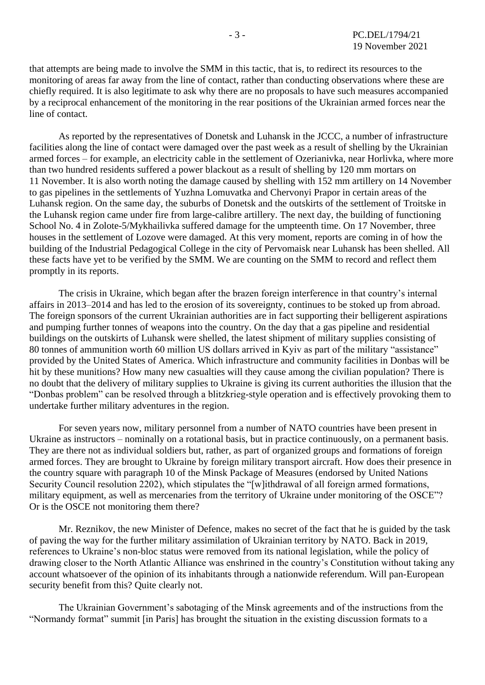that attempts are being made to involve the SMM in this tactic, that is, to redirect its resources to the monitoring of areas far away from the line of contact, rather than conducting observations where these are chiefly required. It is also legitimate to ask why there are no proposals to have such measures accompanied by a reciprocal enhancement of the monitoring in the rear positions of the Ukrainian armed forces near the line of contact.

As reported by the representatives of Donetsk and Luhansk in the JCCC, a number of infrastructure facilities along the line of contact were damaged over the past week as a result of shelling by the Ukrainian armed forces – for example, an electricity cable in the settlement of Ozerianivka, near Horlivka, where more than two hundred residents suffered a power blackout as a result of shelling by 120 mm mortars on 11 November. It is also worth noting the damage caused by shelling with 152 mm artillery on 14 November to gas pipelines in the settlements of Yuzhna Lomuvatka and Chervonyi Prapor in certain areas of the Luhansk region. On the same day, the suburbs of Donetsk and the outskirts of the settlement of Troitske in the Luhansk region came under fire from large-calibre artillery. The next day, the building of functioning School No. 4 in Zolote-5/Mykhailivka suffered damage for the umpteenth time. On 17 November, three houses in the settlement of Lozove were damaged. At this very moment, reports are coming in of how the building of the Industrial Pedagogical College in the city of Pervomaisk near Luhansk has been shelled. All these facts have yet to be verified by the SMM. We are counting on the SMM to record and reflect them promptly in its reports.

The crisis in Ukraine, which began after the brazen foreign interference in that country's internal affairs in 2013–2014 and has led to the erosion of its sovereignty, continues to be stoked up from abroad. The foreign sponsors of the current Ukrainian authorities are in fact supporting their belligerent aspirations and pumping further tonnes of weapons into the country. On the day that a gas pipeline and residential buildings on the outskirts of Luhansk were shelled, the latest shipment of military supplies consisting of 80 tonnes of ammunition worth 60 million US dollars arrived in Kyiv as part of the military "assistance" provided by the United States of America. Which infrastructure and community facilities in Donbas will be hit by these munitions? How many new casualties will they cause among the civilian population? There is no doubt that the delivery of military supplies to Ukraine is giving its current authorities the illusion that the "Donbas problem" can be resolved through a blitzkrieg-style operation and is effectively provoking them to undertake further military adventures in the region.

For seven years now, military personnel from a number of NATO countries have been present in Ukraine as instructors – nominally on a rotational basis, but in practice continuously, on a permanent basis. They are there not as individual soldiers but, rather, as part of organized groups and formations of foreign armed forces. They are brought to Ukraine by foreign military transport aircraft. How does their presence in the country square with paragraph 10 of the Minsk Package of Measures (endorsed by United Nations Security Council resolution 2202), which stipulates the "[w]ithdrawal of all foreign armed formations, military equipment, as well as mercenaries from the territory of Ukraine under monitoring of the OSCE"? Or is the OSCE not monitoring them there?

Mr. Reznikov, the new Minister of Defence, makes no secret of the fact that he is guided by the task of paving the way for the further military assimilation of Ukrainian territory by NATO. Back in 2019, references to Ukraine's non-bloc status were removed from its national legislation, while the policy of drawing closer to the North Atlantic Alliance was enshrined in the country's Constitution without taking any account whatsoever of the opinion of its inhabitants through a nationwide referendum. Will pan-European security benefit from this? Quite clearly not.

The Ukrainian Government's sabotaging of the Minsk agreements and of the instructions from the "Normandy format" summit [in Paris] has brought the situation in the existing discussion formats to a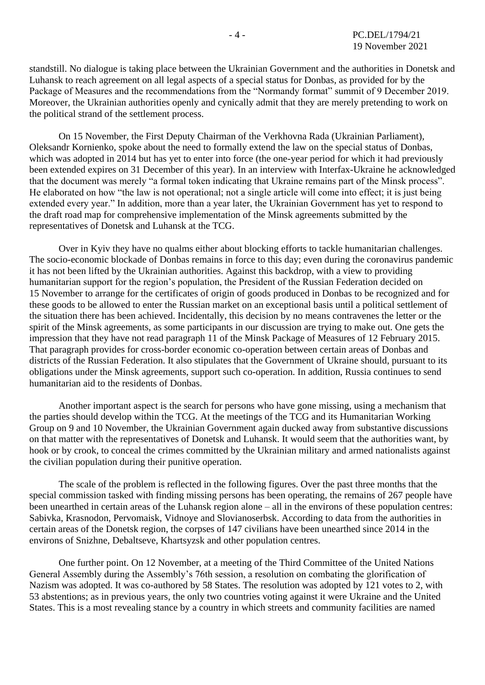standstill. No dialogue is taking place between the Ukrainian Government and the authorities in Donetsk and Luhansk to reach agreement on all legal aspects of a special status for Donbas, as provided for by the Package of Measures and the recommendations from the "Normandy format" summit of 9 December 2019. Moreover, the Ukrainian authorities openly and cynically admit that they are merely pretending to work on the political strand of the settlement process.

On 15 November, the First Deputy Chairman of the Verkhovna Rada (Ukrainian Parliament), Oleksandr Kornienko, spoke about the need to formally extend the law on the special status of Donbas, which was adopted in 2014 but has yet to enter into force (the one-year period for which it had previously been extended expires on 31 December of this year). In an interview with Interfax-Ukraine he acknowledged that the document was merely "a formal token indicating that Ukraine remains part of the Minsk process". He elaborated on how "the law is not operational; not a single article will come into effect; it is just being extended every year." In addition, more than a year later, the Ukrainian Government has yet to respond to the draft road map for comprehensive implementation of the Minsk agreements submitted by the representatives of Donetsk and Luhansk at the TCG.

Over in Kyiv they have no qualms either about blocking efforts to tackle humanitarian challenges. The socio-economic blockade of Donbas remains in force to this day; even during the coronavirus pandemic it has not been lifted by the Ukrainian authorities. Against this backdrop, with a view to providing humanitarian support for the region's population, the President of the Russian Federation decided on 15 November to arrange for the certificates of origin of goods produced in Donbas to be recognized and for these goods to be allowed to enter the Russian market on an exceptional basis until a political settlement of the situation there has been achieved. Incidentally, this decision by no means contravenes the letter or the spirit of the Minsk agreements, as some participants in our discussion are trying to make out. One gets the impression that they have not read paragraph 11 of the Minsk Package of Measures of 12 February 2015. That paragraph provides for cross-border economic co-operation between certain areas of Donbas and districts of the Russian Federation. It also stipulates that the Government of Ukraine should, pursuant to its obligations under the Minsk agreements, support such co-operation. In addition, Russia continues to send humanitarian aid to the residents of Donbas.

Another important aspect is the search for persons who have gone missing, using a mechanism that the parties should develop within the TCG. At the meetings of the TCG and its Humanitarian Working Group on 9 and 10 November, the Ukrainian Government again ducked away from substantive discussions on that matter with the representatives of Donetsk and Luhansk. It would seem that the authorities want, by hook or by crook, to conceal the crimes committed by the Ukrainian military and armed nationalists against the civilian population during their punitive operation.

The scale of the problem is reflected in the following figures. Over the past three months that the special commission tasked with finding missing persons has been operating, the remains of 267 people have been unearthed in certain areas of the Luhansk region alone – all in the environs of these population centres: Sabivka, Krasnodon, Pervomaisk, Vidnoye and Slovianoserbsk. According to data from the authorities in certain areas of the Donetsk region, the corpses of 147 civilians have been unearthed since 2014 in the environs of Snizhne, Debaltseve, Khartsyzsk and other population centres.

One further point. On 12 November, at a meeting of the Third Committee of the United Nations General Assembly during the Assembly's 76th session, a resolution on combating the glorification of Nazism was adopted. It was co-authored by 58 States. The resolution was adopted by 121 votes to 2, with 53 abstentions; as in previous years, the only two countries voting against it were Ukraine and the United States. This is a most revealing stance by a country in which streets and community facilities are named